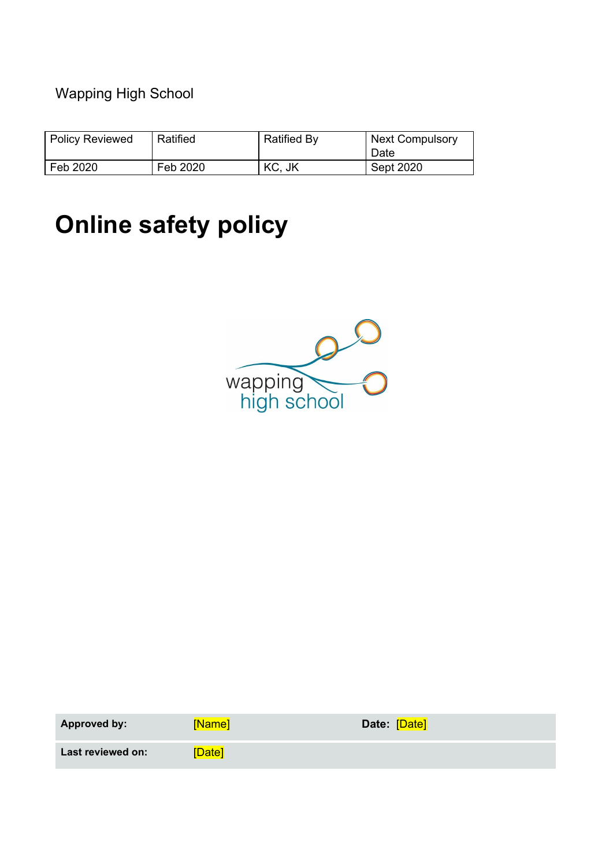# Wapping High School

| <b>Policy Reviewed</b> | Ratified | <b>Ratified By</b> | <b>Next Compulsory</b><br>Date |
|------------------------|----------|--------------------|--------------------------------|
| Feb 2020               | Feb 2020 | KC, JK             | Sept 2020                      |

# **Online safety policy**



| <b>Approved by:</b> | <b>Name</b>   | Date: [Date] |
|---------------------|---------------|--------------|
| Last reviewed on:   | <b>TDatel</b> |              |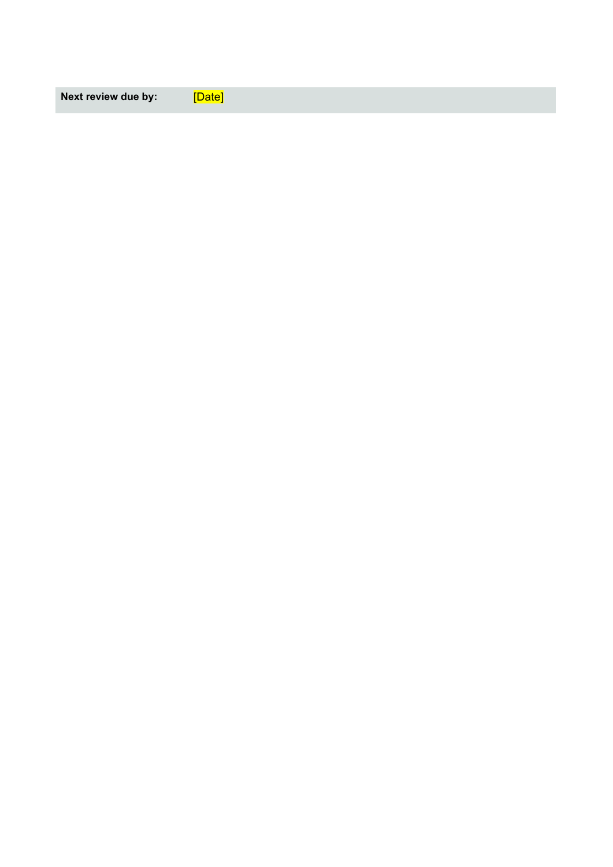**Next review due by:** [Date]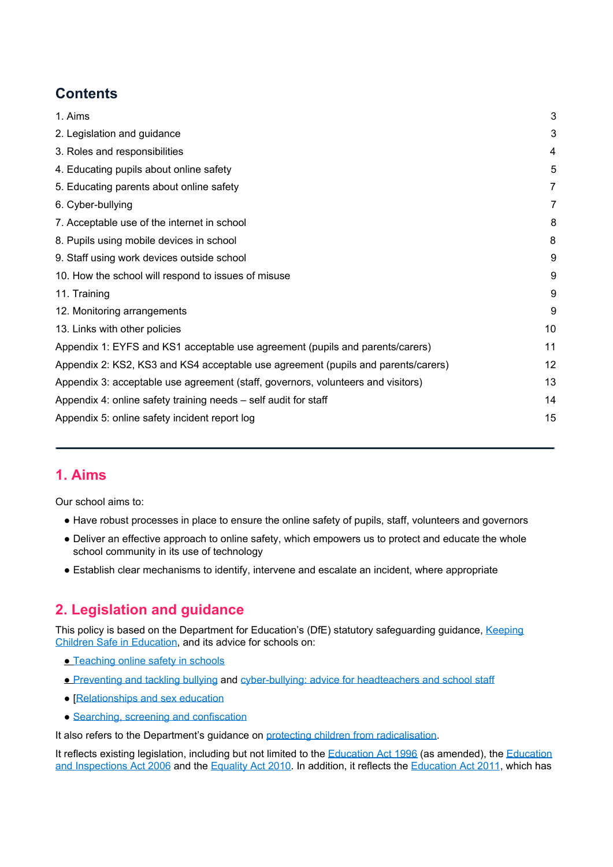# **Contents**

| 1. Aims                                                                           | 3              |
|-----------------------------------------------------------------------------------|----------------|
| 2. Legislation and guidance                                                       | 3              |
| 3. Roles and responsibilities                                                     | 4              |
| 4. Educating pupils about online safety                                           | 5              |
| 5. Educating parents about online safety                                          | $\overline{7}$ |
| 6. Cyber-bullying                                                                 | 7              |
| 7. Acceptable use of the internet in school                                       | 8              |
| 8. Pupils using mobile devices in school                                          | 8              |
| 9. Staff using work devices outside school                                        | 9              |
| 10. How the school will respond to issues of misuse                               | 9              |
| 11. Training                                                                      | 9              |
| 12. Monitoring arrangements                                                       | 9              |
| 13. Links with other policies                                                     | 10             |
| Appendix 1: EYFS and KS1 acceptable use agreement (pupils and parents/carers)     | 11             |
| Appendix 2: KS2, KS3 and KS4 acceptable use agreement (pupils and parents/carers) | 12             |
| Appendix 3: acceptable use agreement (staff, governors, volunteers and visitors)  | 13             |
| Appendix 4: online safety training needs – self audit for staff                   | 14             |
| Appendix 5: online safety incident report log                                     | 15             |
|                                                                                   |                |

## <span id="page-2-0"></span>**1. Aims**

Our school aims to:

- Have robust processes in place to ensure the online safety of pupils, staff, volunteers and governors
- Deliver an effective approach to online safety, which empowers us to protect and educate the whole school community in its use of technology
- <span id="page-2-1"></span>● Establish clear mechanisms to identify, intervene and escalate an incident, where appropriate

# **2. Legislation and guidance**

This policy is based on the Department for Education's (DfE) statutory safeguarding guidance, [Keeping](https://www.gov.uk/government/publications/keeping-children-safe-in-education--2) Children Safe in [Education,](https://www.gov.uk/government/publications/keeping-children-safe-in-education--2) and its advice for schools on:

- [Teaching](https://www.gov.uk/government/publications/teaching-online-safety-in-schools) online [s](https://www.gov.uk/government/publications/preventing-and-tackling-bullying)afety in schools
- [Preventing](https://www.gov.uk/government/publications/preventing-and-tackling-bullying) and tackling bullying and [cyber-bullying:](https://www.gov.uk/government/publications/preventing-and-tackling-bullying) advice for headteachers and school staff
- [[Relationships](https://www.gov.uk/government/publications/relationships-education-relationships-and-sex-education-rse-and-health-education) and sex education
- Searching, screening and [confiscation](https://www.gov.uk/government/publications/searching-screening-and-confiscation)

It also refers to the Department's guidance on protecting children from [radicalisation.](https://www.gov.uk/government/publications/protecting-children-from-radicalisation-the-prevent-duty)

It reflects existing legislation, including but not limited to the [Education](https://www.legislation.gov.uk/ukpga/1996/56/contents) Act 1996 (as amended), the [Education](https://www.legislation.gov.uk/ukpga/2006/40/contents) and [Inspections](https://www.legislation.gov.uk/ukpga/2006/40/contents) Act 2006 and the [Equality](https://www.legislation.gov.uk/ukpga/2010/15/contents) Act 2010. In addition, it reflects the [Education](http://www.legislation.gov.uk/ukpga/2011/21/contents/enacted) Act 2011, which has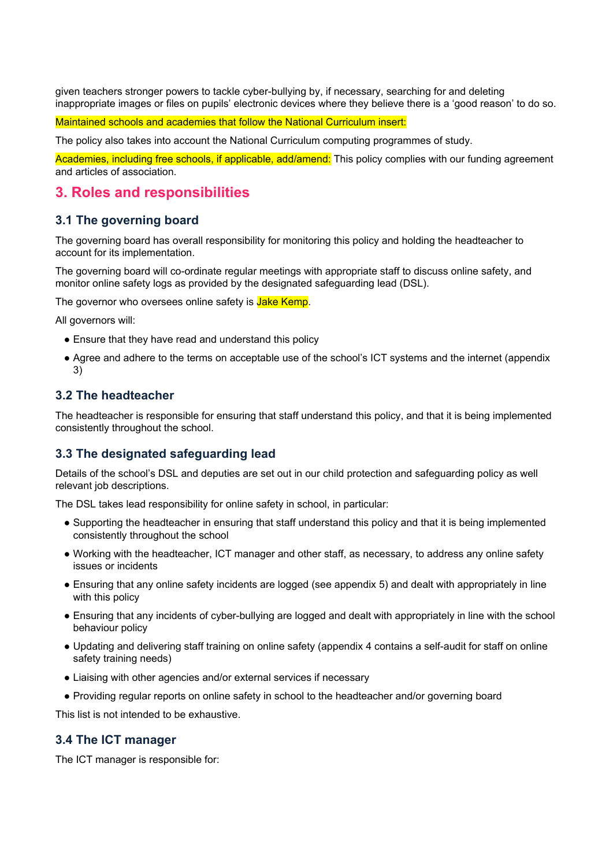given teachers stronger powers to tackle cyber-bullying by, if necessary, searching for and deleting inappropriate images or files on pupils' electronic devices where they believe there is a 'good reason' to do so.

Maintained schools and academies that follow the National Curriculum insert:

The policy also takes into account the National Curriculum computing programmes of study.

<span id="page-3-0"></span>Academies, including free schools, if applicable, add/amend: This policy complies with our funding agreement and articles of association.

## **3. Roles and responsibilities**

#### **3.1 The governing board**

The governing board has overall responsibility for monitoring this policy and holding the headteacher to account for its implementation.

The governing board will co-ordinate regular meetings with appropriate staff to discuss online safety, and monitor online safety logs as provided by the designated safeguarding lead (DSL).

The governor who oversees online safety is Jake Kemp.

All governors will:

- Ensure that they have read and understand this policy
- Agree and adhere to the terms on acceptable use of the school's ICT systems and the internet (appendix 3)

#### **3.2 The headteacher**

The headteacher is responsible for ensuring that staff understand this policy, and that it is being implemented consistently throughout the school.

#### **3.3 The designated safeguarding lead**

Details of the school's DSL and deputies are set out in our child protection and safeguarding policy as well relevant job descriptions.

The DSL takes lead responsibility for online safety in school, in particular:

- Supporting the headteacher in ensuring that staff understand this policy and that it is being implemented consistently throughout the school
- Working with the headteacher, ICT manager and other staff, as necessary, to address any online safety issues or incidents
- Ensuring that any online safety incidents are logged (see appendix 5) and dealt with appropriately in line with this policy
- Ensuring that any incidents of cyber-bullying are logged and dealt with appropriately in line with the school behaviour policy
- Updating and delivering staff training on online safety (appendix 4 contains a self-audit for staff on online safety training needs)
- Liaising with other agencies and/or external services if necessary
- Providing regular reports on online safety in school to the headteacher and/or governing board

This list is not intended to be exhaustive.

#### **3.4 The ICT manager**

The ICT manager is responsible for: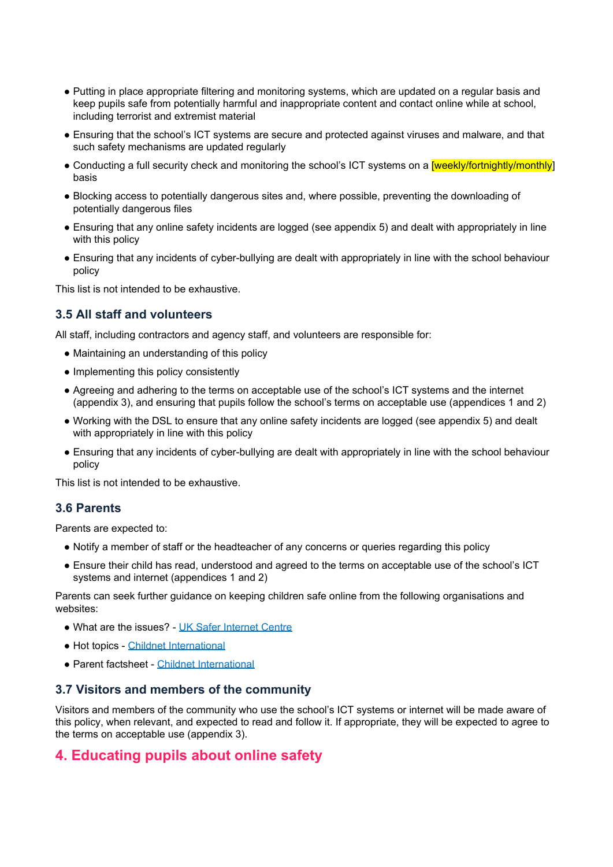- Putting in place appropriate filtering and monitoring systems, which are updated on a regular basis and keep pupils safe from potentially harmful and inappropriate content and contact online while at school, including terrorist and extremist material
- Ensuring that the school's ICT systems are secure and protected against viruses and malware, and that such safety mechanisms are updated regularly
- Conducting a full security check and monitoring the school's ICT systems on a *[weekly/fortnightly/monthly]* basis
- Blocking access to potentially dangerous sites and, where possible, preventing the downloading of potentially dangerous files
- Ensuring that any online safety incidents are logged (see appendix 5) and dealt with appropriately in line with this policy
- Ensuring that any incidents of cyber-bullying are dealt with appropriately in line with the school behaviour policy

This list is not intended to be exhaustive.

#### **3.5 All staff and volunteers**

All staff, including contractors and agency staff, and volunteers are responsible for:

- Maintaining an understanding of this policy
- Implementing this policy consistently
- Agreeing and adhering to the terms on acceptable use of the school's ICT systems and the internet (appendix 3), and ensuring that pupils follow the school's terms on acceptable use (appendices 1 and 2)
- Working with the DSL to ensure that any online safety incidents are logged (see appendix 5) and dealt with appropriately in line with this policy
- Ensuring that any incidents of cyber-bullying are dealt with appropriately in line with the school behaviour policy

This list is not intended to be exhaustive.

#### **3.6 Parents**

Parents are expected to:

- Notify a member of staff or the headteacher of any concerns or queries regarding this policy
- Ensure their child has read, understood and agreed to the terms on acceptable use of the school's ICT systems and internet (appendices 1 and 2)

Parents can seek further guidance on keeping children safe online from the following organisations and websites:

- What are the issues? UK Safer [Internet](https://www.saferinternet.org.uk/advice-centre/parents-and-carers/what-are-issues) Centre
- Hot topics Childnet [International](http://www.childnet.com/parents-and-carers/hot-topics)
- Parent factsheet Childnet [International](https://www.childnet.com/resources/parents-and-carers-resource-sheet)

#### **3.7 Visitors and members of the community**

<span id="page-4-0"></span>Visitors and members of the community who use the school's ICT systems or internet will be made aware of this policy, when relevant, and expected to read and follow it. If appropriate, they will be expected to agree to the terms on acceptable use (appendix 3).

## **4. Educating pupils about online safety**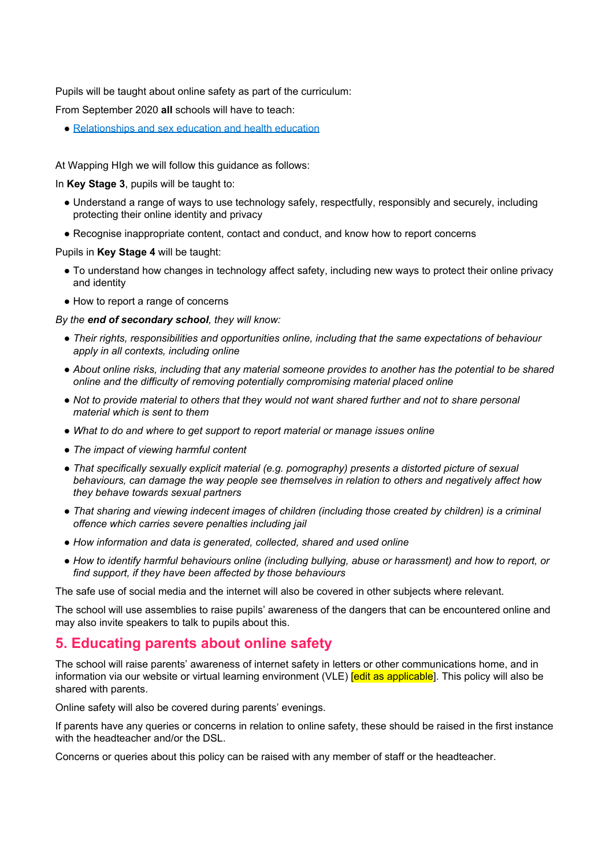Pupils will be taught about online safety as part of the curriculum:

From September 2020 **all** schools will have to teach:

● [Relationships](https://schoolleaders.thekeysupport.com/uid/66a1d83e-2fb9-411e-91f1-fe52a09d16d1/) and sex education and health education

At Wapping HIgh we will follow this guidance as follows:

In **Key Stage 3**, pupils will be taught to:

- Understand a range of ways to use technology safely, respectfully, responsibly and securely, including protecting their online identity and privacy
- Recognise inappropriate content, contact and conduct, and know how to report concerns

Pupils in **Key Stage 4** will be taught:

- To understand how changes in technology affect safety, including new ways to protect their online privacy and identity
- How to report a range of concerns

*By the end of secondary school, they will know:*

- *Their rights, responsibilities and opportunities online, including that the same expectations of behaviour apply in all contexts, including online*
- About online risks, including that any material someone provides to another has the potential to be shared *online and the difficulty of removing potentially compromising material placed online*
- Not to provide material to others that they would not want shared further and not to share personal *material which is sent to them*
- *What to do and where to get support to report material or manage issues online*
- *The impact of viewing harmful content*
- *That specifically sexually explicit material (e.g. pornography) presents a distorted picture of sexual behaviours, can damage the way people see themselves in relation to others and negatively affect how they behave towards sexual partners*
- *That sharing and viewing indecent images of children (including those created by children) is a criminal offence which carries severe penalties including jail*
- *How information and data is generated, collected, shared and used online*
- *How to identify harmful behaviours online (including bullying, abuse or harassment) and how to report, or find support, if they have been affected by those behaviours*

The safe use of social media and the internet will also be covered in other subjects where relevant.

<span id="page-5-0"></span>The school will use assemblies to raise pupils' awareness of the dangers that can be encountered online and may also invite speakers to talk to pupils about this.

#### **5. Educating parents about online safety**

The school will raise parents' awareness of internet safety in letters or other communications home, and in information via our website or virtual learning environment (VLE) **[edit as applicable**]. This policy will also be shared with parents.

Online safety will also be covered during parents' evenings.

If parents have any queries or concerns in relation to online safety, these should be raised in the first instance with the headteacher and/or the DSL.

<span id="page-5-1"></span>Concerns or queries about this policy can be raised with any member of staff or the headteacher.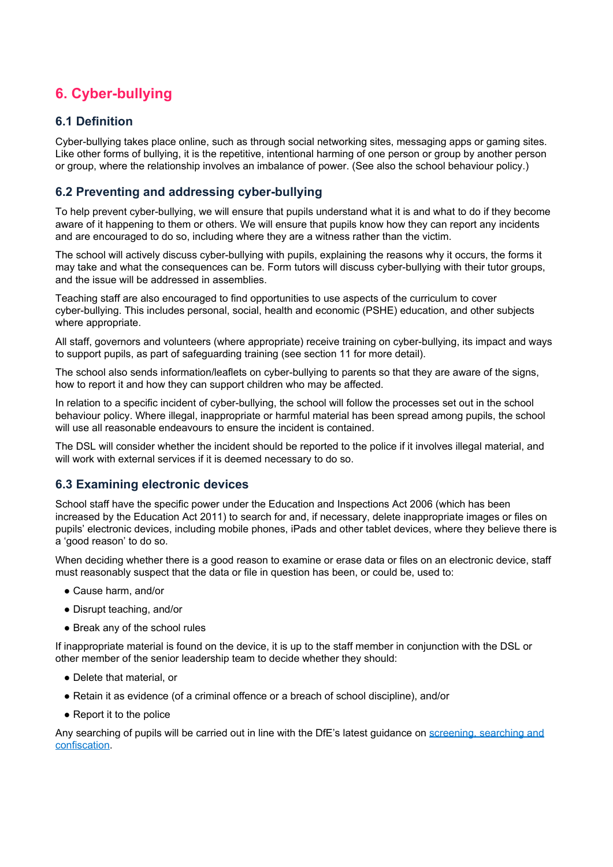# **6. Cyber-bullying**

#### **6.1 Definition**

Cyber-bullying takes place online, such as through social networking sites, messaging apps or gaming sites. Like other forms of bullying, it is the repetitive, intentional harming of one person or group by another person or group, where the relationship involves an imbalance of power. (See also the school behaviour policy.)

#### **6.2 Preventing and addressing cyber-bullying**

To help prevent cyber-bullying, we will ensure that pupils understand what it is and what to do if they become aware of it happening to them or others. We will ensure that pupils know how they can report any incidents and are encouraged to do so, including where they are a witness rather than the victim.

The school will actively discuss cyber-bullying with pupils, explaining the reasons why it occurs, the forms it may take and what the consequences can be. Form tutors will discuss cyber-bullying with their tutor groups, and the issue will be addressed in assemblies.

Teaching staff are also encouraged to find opportunities to use aspects of the curriculum to cover cyber-bullying. This includes personal, social, health and economic (PSHE) education, and other subjects where appropriate.

All staff, governors and volunteers (where appropriate) receive training on cyber-bullying, its impact and ways to support pupils, as part of safeguarding training (see section 11 for more detail).

The school also sends information/leaflets on cyber-bullying to parents so that they are aware of the signs, how to report it and how they can support children who may be affected.

In relation to a specific incident of cyber-bullying, the school will follow the processes set out in the school behaviour policy. Where illegal, inappropriate or harmful material has been spread among pupils, the school will use all reasonable endeavours to ensure the incident is contained.

The DSL will consider whether the incident should be reported to the police if it involves illegal material, and will work with external services if it is deemed necessary to do so.

#### **6.3 Examining electronic devices**

School staff have the specific power under the Education and Inspections Act 2006 (which has been increased by the Education Act 2011) to search for and, if necessary, delete inappropriate images or files on pupils' electronic devices, including mobile phones, iPads and other tablet devices, where they believe there is a 'good reason' to do so.

When deciding whether there is a good reason to examine or erase data or files on an electronic device, staff must reasonably suspect that the data or file in question has been, or could be, used to:

- Cause harm, and/or
- Disrupt teaching, and/or
- Break any of the school rules

If inappropriate material is found on the device, it is up to the staff member in conjunction with the DSL or other member of the senior leadership team to decide whether they should:

- Delete that material, or
- Retain it as evidence (of a criminal offence or a breach of school discipline), and/or
- Report it to the police

Any searching of pupils will be carried out in line with the DfE's latest guidance on [screening,](https://www.gov.uk/government/publications/searching-screening-and-confiscation) searching and [confiscation.](https://www.gov.uk/government/publications/searching-screening-and-confiscation)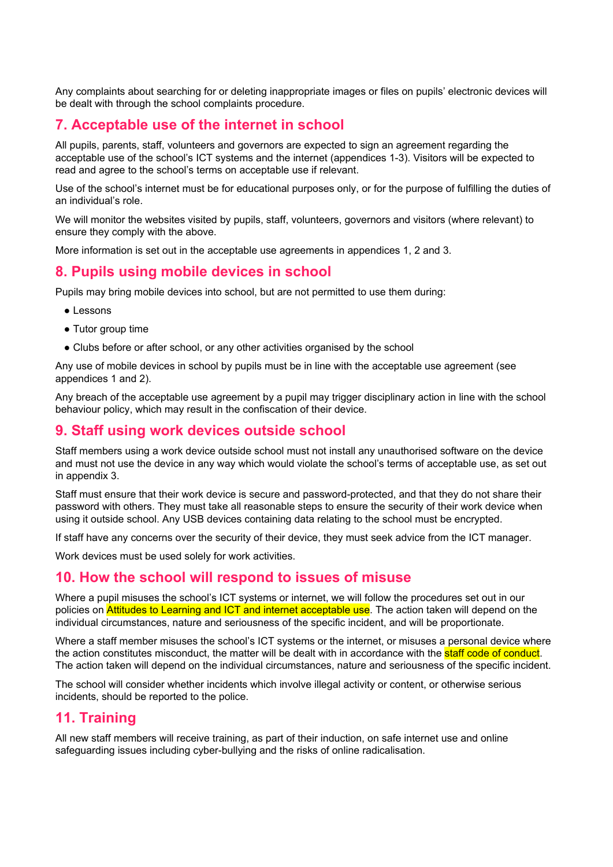<span id="page-7-0"></span>Any complaints about searching for or deleting inappropriate images or files on pupils' electronic devices will be dealt with through the school complaints procedure.

## **7. Acceptable use of the internet in school**

All pupils, parents, staff, volunteers and governors are expected to sign an agreement regarding the acceptable use of the school's ICT systems and the internet (appendices 1-3). Visitors will be expected to read and agree to the school's terms on acceptable use if relevant.

Use of the school's internet must be for educational purposes only, or for the purpose of fulfilling the duties of an individual's role.

We will monitor the websites visited by pupils, staff, volunteers, governors and visitors (where relevant) to ensure they comply with the above.

<span id="page-7-1"></span>More information is set out in the acceptable use agreements in appendices 1, 2 and 3.

#### **8. Pupils using mobile devices in school**

Pupils may bring mobile devices into school, but are not permitted to use them during:

- Lessons
- Tutor group time
- Clubs before or after school, or any other activities organised by the school

Any use of mobile devices in school by pupils must be in line with the acceptable use agreement (see appendices 1 and 2).

<span id="page-7-2"></span>Any breach of the acceptable use agreement by a pupil may trigger disciplinary action in line with the school behaviour policy, which may result in the confiscation of their device.

#### **9. Staff using work devices outside school**

Staff members using a work device outside school must not install any unauthorised software on the device and must not use the device in any way which would violate the school's terms of acceptable use, as set out in appendix 3.

Staff must ensure that their work device is secure and password-protected, and that they do not share their password with others. They must take all reasonable steps to ensure the security of their work device when using it outside school. Any USB devices containing data relating to the school must be encrypted.

If staff have any concerns over the security of their device, they must seek advice from the ICT manager.

<span id="page-7-3"></span>Work devices must be used solely for work activities.

#### **10. How the school will respond to issues of misuse**

Where a pupil misuses the school's ICT systems or internet, we will follow the procedures set out in our policies on **Attitudes to Learning and ICT and internet acceptable use**. The action taken will depend on the individual circumstances, nature and seriousness of the specific incident, and will be proportionate.

Where a staff member misuses the school's ICT systems or the internet, or misuses a personal device where the action constitutes misconduct, the matter will be dealt with in accordance with the **staff code of conduct**. The action taken will depend on the individual circumstances, nature and seriousness of the specific incident.

<span id="page-7-4"></span>The school will consider whether incidents which involve illegal activity or content, or otherwise serious incidents, should be reported to the police.

#### **11. Training**

All new staff members will receive training, as part of their induction, on safe internet use and online safeguarding issues including cyber-bullying and the risks of online radicalisation.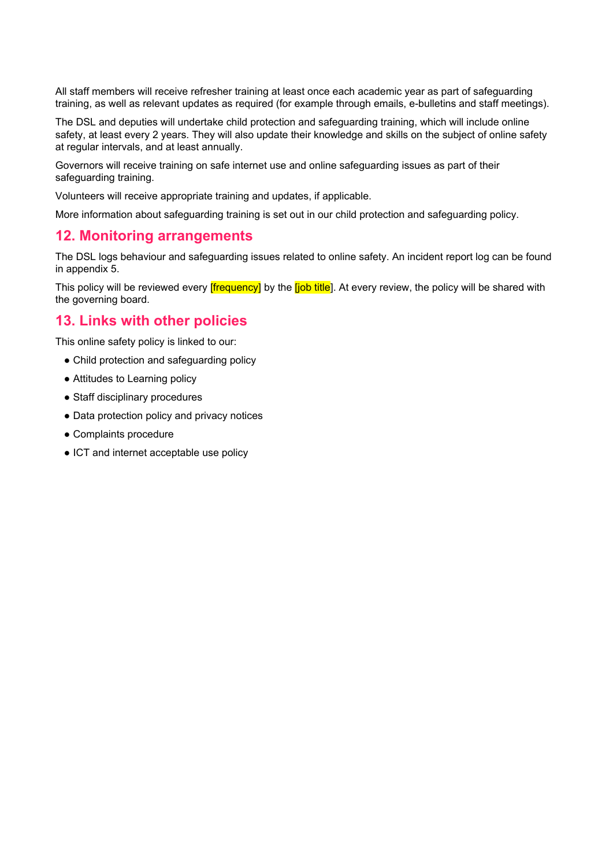All staff members will receive refresher training at least once each academic year as part of safeguarding training, as well as relevant updates as required (for example through emails, e-bulletins and staff meetings).

The DSL and deputies will undertake child protection and safeguarding training, which will include online safety, at least every 2 years. They will also update their knowledge and skills on the subject of online safety at regular intervals, and at least annually.

Governors will receive training on safe internet use and online safeguarding issues as part of their safeguarding training.

Volunteers will receive appropriate training and updates, if applicable.

<span id="page-8-0"></span>More information about safeguarding training is set out in our child protection and safeguarding policy.

#### **12. Monitoring arrangements**

The DSL logs behaviour and safeguarding issues related to online safety. An incident report log can be found in appendix 5.

<span id="page-8-1"></span>This policy will be reviewed every **[frequency]** by the **[job title**]. At every review, the policy will be shared with the governing board.

#### **13. Links with other policies**

This online safety policy is linked to our:

- Child protection and safeguarding policy
- Attitudes to Learning policy
- Staff disciplinary procedures
- Data protection policy and privacy notices
- Complaints procedure
- <span id="page-8-2"></span>● ICT and internet acceptable use policy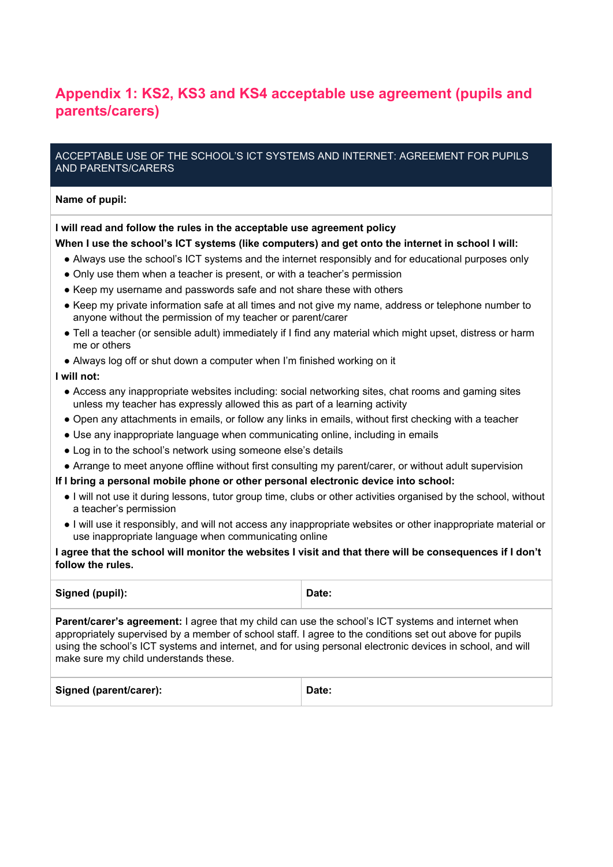# **Appendix 1: KS2, KS3 and KS4 acceptable use agreement (pupils and parents/carers)**

#### ACCEPTABLE USE OF THE SCHOOL'S ICT SYSTEMS AND INTERNET: AGREEMENT FOR PUPILS AND PARENTS/CARERS

#### **Name of pupil:**

#### **I will read and follow the rules in the acceptable use agreement policy**

#### **When I use the school's ICT systems (like computers) and get onto the internet in school I will:**

- Always use the school's ICT systems and the internet responsibly and for educational purposes only
- Only use them when a teacher is present, or with a teacher's permission
- Keep my username and passwords safe and not share these with others
- Keep my private information safe at all times and not give my name, address or telephone number to anyone without the permission of my teacher or parent/carer
- Tell a teacher (or sensible adult) immediately if I find any material which might upset, distress or harm me or others
- Always log off or shut down a computer when I'm finished working on it

#### **I will not:**

- Access any inappropriate websites including: social networking sites, chat rooms and gaming sites unless my teacher has expressly allowed this as part of a learning activity
- Open any attachments in emails, or follow any links in emails, without first checking with a teacher
- Use any inappropriate language when communicating online, including in emails
- Log in to the school's network using someone else's details
- Arrange to meet anyone offline without first consulting my parent/carer, or without adult supervision
- **If I bring a personal mobile phone or other personal electronic device into school:**
	- I will not use it during lessons, tutor group time, clubs or other activities organised by the school, without a teacher's permission
	- I will use it responsibly, and will not access any inappropriate websites or other inappropriate material or use inappropriate language when communicating online

#### I agree that the school will monitor the websites I visit and that there will be consequences if I don't **follow the rules.**

<span id="page-9-0"></span>

| Signed (pupil):                                                                                                                                                                                                                                                                                                                                                              | Date: |
|------------------------------------------------------------------------------------------------------------------------------------------------------------------------------------------------------------------------------------------------------------------------------------------------------------------------------------------------------------------------------|-------|
| <b>Parent/carer's agreement:</b> I agree that my child can use the school's ICT systems and internet when<br>appropriately supervised by a member of school staff. I agree to the conditions set out above for pupils<br>using the school's ICT systems and internet, and for using personal electronic devices in school, and will<br>make sure my child understands these. |       |
| Signed (parent/carer):                                                                                                                                                                                                                                                                                                                                                       | Date: |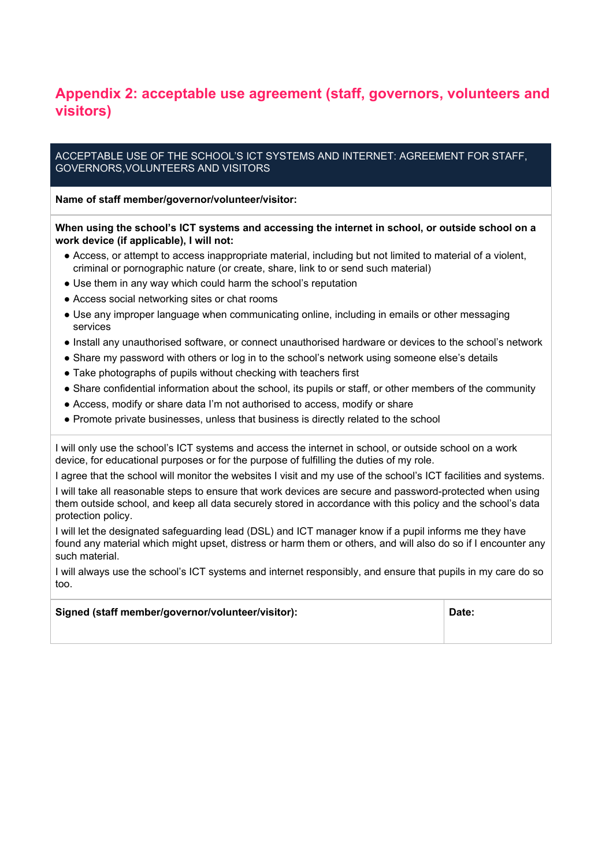## **Appendix 2: acceptable use agreement (staff, governors, volunteers and visitors)**

#### ACCEPTABLE USE OF THE SCHOOL'S ICT SYSTEMS AND INTERNET: AGREEMENT FOR STAFF, GOVERNORS,VOLUNTEERS AND VISITORS

**Name of staff member/governor/volunteer/visitor:**

**When using the school's ICT systems and accessing the internet in school, or outside school on a work device (if applicable), I will not:**

- Access, or attempt to access inappropriate material, including but not limited to material of a violent, criminal or pornographic nature (or create, share, link to or send such material)
- Use them in any way which could harm the school's reputation
- Access social networking sites or chat rooms
- Use any improper language when communicating online, including in emails or other messaging services
- Install any unauthorised software, or connect unauthorised hardware or devices to the school's network
- Share my password with others or log in to the school's network using someone else's details
- Take photographs of pupils without checking with teachers first
- Share confidential information about the school, its pupils or staff, or other members of the community
- Access, modify or share data I'm not authorised to access, modify or share
- Promote private businesses, unless that business is directly related to the school

I will only use the school's ICT systems and access the internet in school, or outside school on a work device, for educational purposes or for the purpose of fulfilling the duties of my role.

I agree that the school will monitor the websites I visit and my use of the school's ICT facilities and systems.

I will take all reasonable steps to ensure that work devices are secure and password-protected when using them outside school, and keep all data securely stored in accordance with this policy and the school's data protection policy.

I will let the designated safeguarding lead (DSL) and ICT manager know if a pupil informs me they have found any material which might upset, distress or harm them or others, and will also do so if I encounter any such material.

I will always use the school's ICT systems and internet responsibly, and ensure that pupils in my care do so too.

<span id="page-10-0"></span>

| Signed (staff member/governor/volunteer/visitor): | Date: |
|---------------------------------------------------|-------|
|                                                   |       |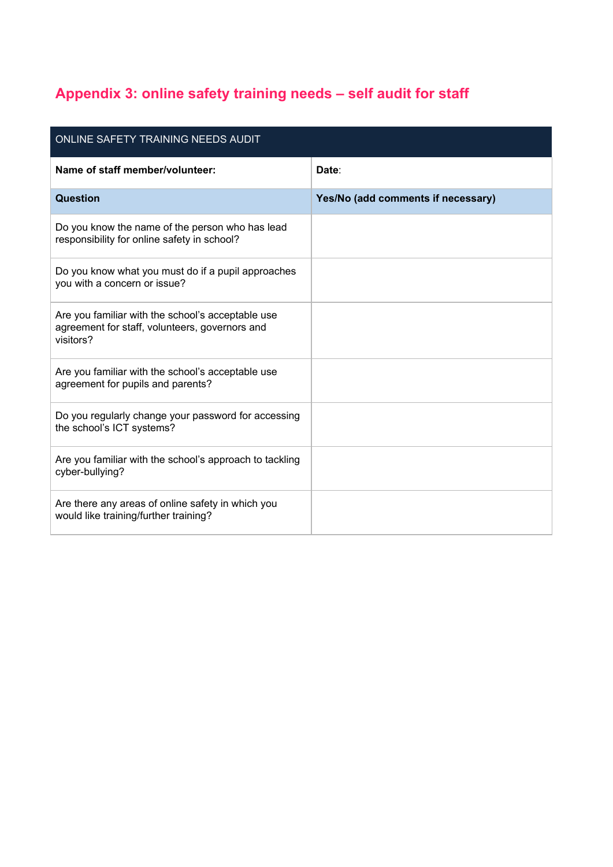# **Appendix 3: online safety training needs – self audit for staff**

<span id="page-11-0"></span>

| ONLINE SAFETY TRAINING NEEDS AUDIT                                                                               |                                    |
|------------------------------------------------------------------------------------------------------------------|------------------------------------|
| Name of staff member/volunteer:                                                                                  | Date:                              |
| Question                                                                                                         | Yes/No (add comments if necessary) |
| Do you know the name of the person who has lead<br>responsibility for online safety in school?                   |                                    |
| Do you know what you must do if a pupil approaches<br>you with a concern or issue?                               |                                    |
| Are you familiar with the school's acceptable use<br>agreement for staff, volunteers, governors and<br>visitors? |                                    |
| Are you familiar with the school's acceptable use<br>agreement for pupils and parents?                           |                                    |
| Do you regularly change your password for accessing<br>the school's ICT systems?                                 |                                    |
| Are you familiar with the school's approach to tackling<br>cyber-bullying?                                       |                                    |
| Are there any areas of online safety in which you<br>would like training/further training?                       |                                    |